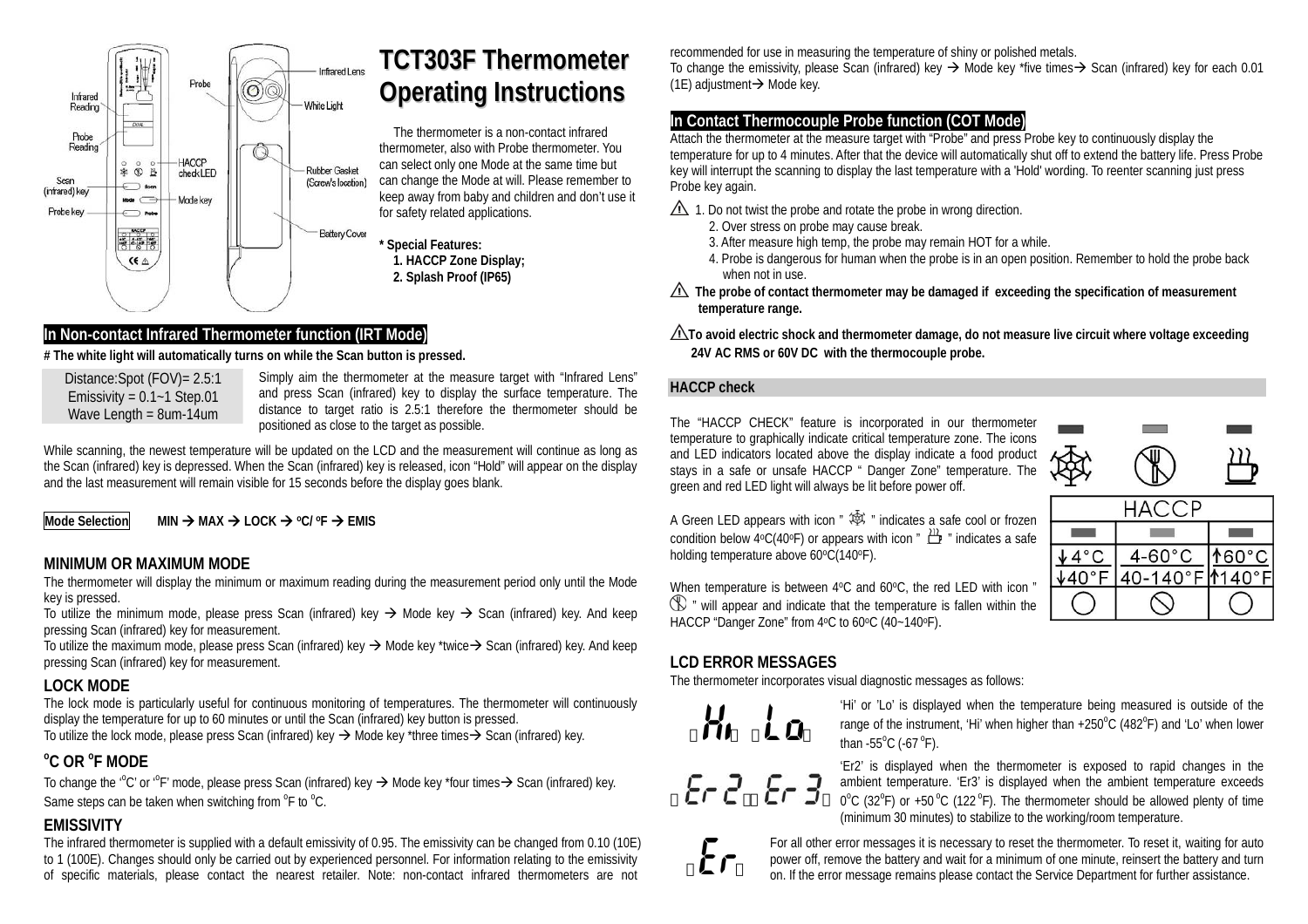

# **TCT303FThermometerOperating Instructions**

The thermometer is a non-contact infrared thermometer, also with Probe thermometer. You can select only one Mode at the same time but can change the Mode at will. Please remember to keep away from baby and children and don't use it for safety related applications.



# **In Non-contact Infrared Thermometer function (IRT Mode)**

#### **# The white light will automatically turns on while the Scan button is pressed.**

Distance:Spot (FOV)= 2.5:1 Emissivity =  $0.1 - 1$  Step.01 Wave Length = 8um-14um

Simply aim the thermometer at the measure target with "Infrared Lens" and press Scan (infrared) key to display the surface temperature. The distance to target ratio is 2.5:1 therefore the thermometer should be positioned as close to the target as possible.

While scanning, the newest temperature will be updated on the LCD and the measurement will continue as long as the Scan (infrared) key is depressed. When the Scan (infrared) key is released, icon "Hold" will appear on the display and the last measurement will remain visible for 15 seconds before the display goes blank.

**Mode Selection** Æ **MAX** Æ **LOCK** Æ **oC/ oF** Æ **EMIS** 

## **MINIMUM OR MAXIMUM MODE**

The thermometer will display the minimum or maximum reading during the measurement period only until the Mode key is pressed.

To utilize the minimum mode, please press Scan (infrared) key  $\rightarrow$  Mode key  $\rightarrow$  Scan (infrared) key. And keep pressing Scan (infrared) key for measurement.

To utilize the maximum mode, please press Scan (infrared) key  $\rightarrow$  Mode key \*twice $\rightarrow$  Scan (infrared) key. And keep pressing Scan (infrared) key for measurement.

#### **LOCK MODE**

The lock mode is particularly useful for continuous monitoring of temperatures. The thermometer will continuously display the temperature for up to 60 minutes or until the Scan (infrared) key button is pressed. To utilize the lock mode, please press Scan (infrared) key  $\rightarrow$  Mode key \*three times $\rightarrow$  Scan (infrared) key.

# **oC OR oF MODE**

To change the '°C' or '°F' mode, please press Scan (infrared) key  $\rightarrow$  Mode key \*four times $\rightarrow$  Scan (infrared) key. Same steps can be taken when switching from  ${}^{0}$ F to  ${}^{0}$ C.

# **EMISSIVITY**

The infrared thermometer is supplied with a default emissivity of 0.95. The emissivity can be changed from 0.10 (10E) to 1 (100E). Changes should only be carried out by experienced personnel. For information relating to the emissivity of specific materials, please contact the nearest retailer. Note: non-contact infrared thermometers are not

recommended for use in measuring the temperature of shiny or polished metals.

To change the emissivity, please Scan (infrared) key  $\rightarrow$  Mode key \*five times $\rightarrow$  Scan (infrared) key for each 0.01 (1E) adjustment $\rightarrow$  Mode key.

## **In Contact Thermocouple Probe function (COT Mode)**

Attach the thermometer at the measure target with "Probe" and press Probe key to continuously display the temperature for up to 4 minutes. After that the device will automatically shut off to extend the battery life. Press Probe key will interrupt the scanning to display the last temperature with a 'Hold' wording. To reenter scanning just press Probe key again.

- $\triangle$  1. Do not twist the probe and rotate the probe in wrong direction.
	- 2. Over stress on probe may cause break.
		- 3. After measure high temp, the probe may remain HOT for a while.
		- 4. Probe is dangerous for human when the probe is in an open position. Remember to hold the probe back when not in use.
- **The probe of contact thermometer may be damaged if exceeding the specification of measurement temperature range.**
- **To avoid electric shock and thermometer damage, do not measure live circuit where voltage exceeding 24V AC RMS or 60V DC with the thermocouple probe.**

#### **HACCP check**

The "HACCP CHECK" feature is incorporated in our thermometer temperature to graphically indicate critical temperature zone. The icons and LED indicators located above the display indicate a food product stays in a safe or unsafe HACCP " Danger Zone" temperature. The green and red LED light will always be lit before power off.



A Green LED appears with icon  $\mathscr{B}$   $\mathscr{B}$   $\mathscr{B}$  indicates a safe cool or frozen condition below 4°C(40°F) or appears with icon "  $\mathbb{H}$  " indicates a safe holding temperature above  $60^{\circ}C(140^{\circ}F)$ .

When temperature is between  $4^{\circ}$ C and  $60^{\circ}$ C, the red LED with icon "  $\mathbb{D}$  " will appear and indicate that the temperature is fallen within the HACCP "Danger Zone" from 4°C to 60°C (40~140°F).

# **LCD ERROR MESSAGES**

The thermometer incorporates visual diagnostic messages as follows:



 $E - 2E - 3$ 

'Hi' or 'Lo' is displayed when the temperature being measured is outside of the range of the instrument. 'Hi' when higher than  $+250^{\circ}$ C (482 $^{\circ}$ F) and 'Lo' when lower than -55 $^{\circ}$ C (-67 $^{\circ}$ F).

'Er2' is displayed when the thermometer is exposed to rapid changes in the ambient temperature. 'Er3' is displayed when the ambient temperature exceeds  $0^{\circ}$ C (32 $^{\circ}$ F) or +50 $^{\circ}$ C (122 $^{\circ}$ F). The thermometer should be allowed plenty of time (minimum 30 minutes) to stabilize to the working/room temperature.



For all other error messages it is necessary to reset the thermometer. To reset it, waiting for auto power off, remove the battery and wait for a minimum of one minute, reinsert the battery and turn on. If the error message remains please contact the Service Department for further assistance.



 $\odot$